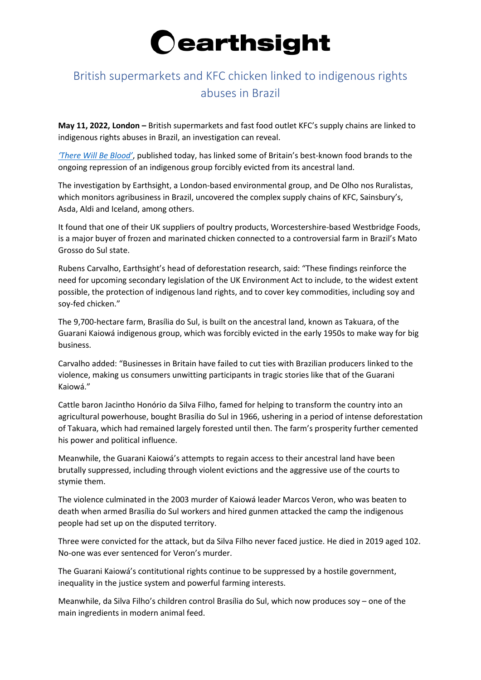

## British supermarkets and KFC chicken linked to indigenous rights abuses in Brazil

**May 11, 2022, London –** British supermarkets and fast food outlet KFC's supply chains are linked to indigenous rights abuses in Brazil, an investigation can reveal.

*['There Will Be Blood'](https://www.earthsight.org.uk/therewillbeblood)*, published today, has linked some of Britain's best-known food brands to the ongoing repression of an indigenous group forcibly evicted from its ancestral land.

The investigation by Earthsight, a London-based environmental group, and De Olho nos Ruralistas, which monitors agribusiness in Brazil, uncovered the complex supply chains of KFC, Sainsbury's, Asda, Aldi and Iceland, among others.

It found that one of their UK suppliers of poultry products, Worcestershire-based Westbridge Foods, is a major buyer of frozen and marinated chicken connected to a controversial farm in Brazil's Mato Grosso do Sul state.

Rubens Carvalho, Earthsight's head of deforestation research, said: "These findings reinforce the need for upcoming secondary legislation of the UK Environment Act to include, to the widest extent possible, the protection of indigenous land rights, and to cover key commodities, including soy and soy-fed chicken."

The 9,700-hectare farm, Brasília do Sul, is built on the ancestral land, known as Takuara, of the Guarani Kaiowá indigenous group, which was forcibly evicted in the early 1950s to make way for big business.

Carvalho added: "Businesses in Britain have failed to cut ties with Brazilian producers linked to the violence, making us consumers unwitting participants in tragic stories like that of the Guarani Kaiowá."

Cattle baron Jacintho Honório da Silva Filho, famed for helping to transform the country into an agricultural powerhouse, bought Brasília do Sul in 1966, ushering in a period of intense deforestation of Takuara, which had remained largely forested until then. The farm's prosperity further cemented his power and political influence.

Meanwhile, the Guarani Kaiowá's attempts to regain access to their ancestral land have been brutally suppressed, including through violent evictions and the aggressive use of the courts to stymie them.

The violence culminated in the 2003 murder of Kaiowá leader Marcos Veron, who was beaten to death when armed Brasília do Sul workers and hired gunmen attacked the camp the indigenous people had set up on the disputed territory.

Three were convicted for the attack, but da Silva Filho never faced justice. He died in 2019 aged 102. No-one was ever sentenced for Veron's murder.

The Guarani Kaiowá's contitutional rights continue to be suppressed by a hostile government, inequality in the justice system and powerful farming interests.

Meanwhile, da Silva Filho's children control Brasília do Sul, which now produces soy – one of the main ingredients in modern animal feed.